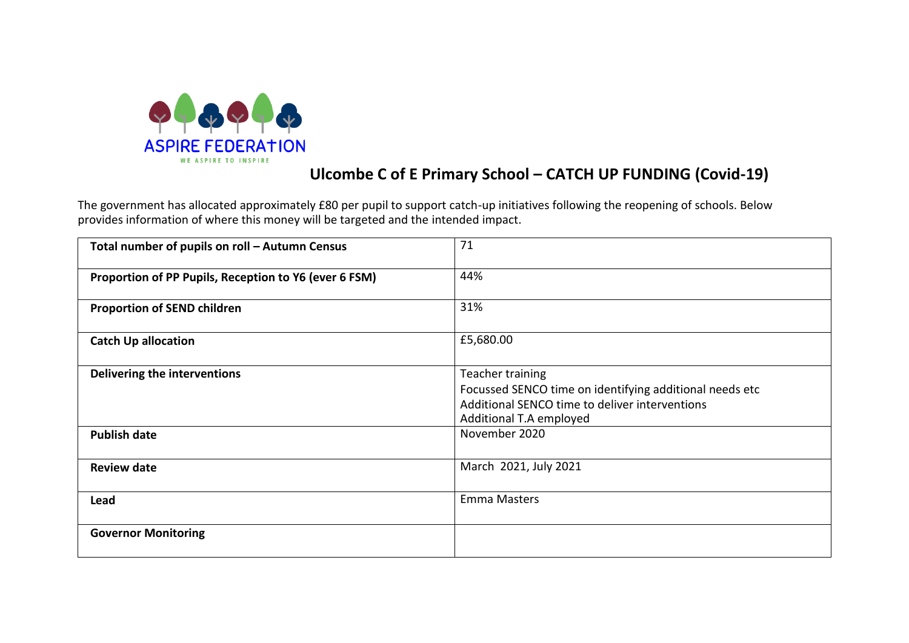

## **Ulcombe C of E Primary School – CATCH UP FUNDING (Covid-19)**

The government has allocated approximately £80 per pupil to support catch-up initiatives following the reopening of schools. Below provides information of where this money will be targeted and the intended impact.

| Total number of pupils on roll - Autumn Census        | 71                                                                                                                                                       |
|-------------------------------------------------------|----------------------------------------------------------------------------------------------------------------------------------------------------------|
| Proportion of PP Pupils, Reception to Y6 (ever 6 FSM) | 44%                                                                                                                                                      |
| <b>Proportion of SEND children</b>                    | 31%                                                                                                                                                      |
| <b>Catch Up allocation</b>                            | £5,680.00                                                                                                                                                |
| Delivering the interventions                          | Teacher training<br>Focussed SENCO time on identifying additional needs etc<br>Additional SENCO time to deliver interventions<br>Additional T.A employed |
| <b>Publish date</b>                                   | November 2020                                                                                                                                            |
| <b>Review date</b>                                    | March 2021, July 2021                                                                                                                                    |
| Lead                                                  | <b>Emma Masters</b>                                                                                                                                      |
| <b>Governor Monitoring</b>                            |                                                                                                                                                          |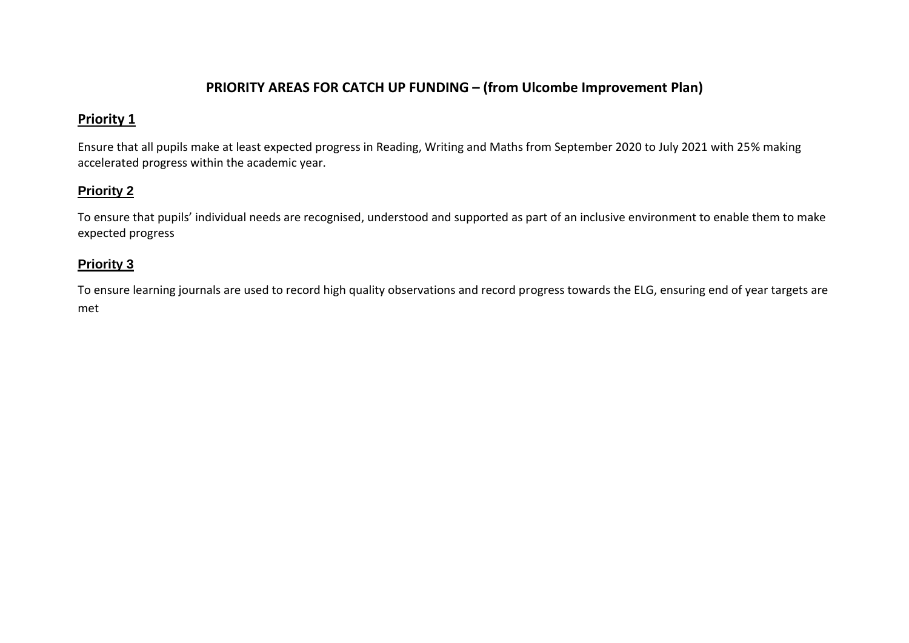### **PRIORITY AREAS FOR CATCH UP FUNDING – (from Ulcombe Improvement Plan)**

## **Priority 1**

Ensure that all pupils make at least expected progress in Reading, Writing and Maths from September 2020 to July 2021 with 25% making accelerated progress within the academic year.

#### **Priority 2**

To ensure that pupils' individual needs are recognised, understood and supported as part of an inclusive environment to enable them to make expected progress

#### **Priority 3**

To ensure learning journals are used to record high quality observations and record progress towards the ELG, ensuring end of year targets are met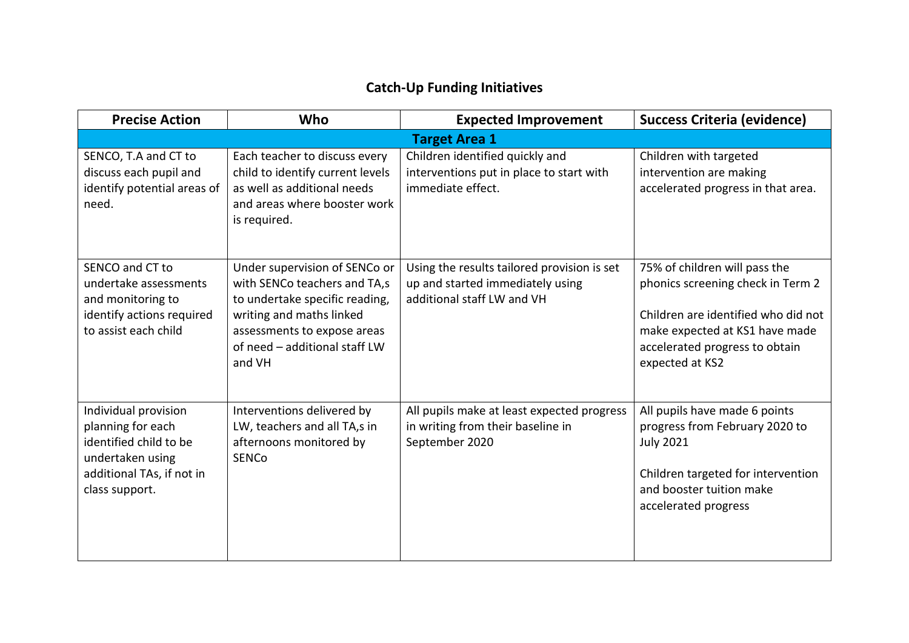# **Catch-Up Funding Initiatives**

| <b>Precise Action</b>                                                                                                                  | Who                                                                                                                                                                                                   | <b>Expected Improvement</b>                                                                                   | <b>Success Criteria (evidence)</b>                                                                                                                                                               |  |  |
|----------------------------------------------------------------------------------------------------------------------------------------|-------------------------------------------------------------------------------------------------------------------------------------------------------------------------------------------------------|---------------------------------------------------------------------------------------------------------------|--------------------------------------------------------------------------------------------------------------------------------------------------------------------------------------------------|--|--|
| <b>Target Area 1</b>                                                                                                                   |                                                                                                                                                                                                       |                                                                                                               |                                                                                                                                                                                                  |  |  |
| SENCO, T.A and CT to<br>discuss each pupil and<br>identify potential areas of<br>need.                                                 | Each teacher to discuss every<br>child to identify current levels<br>as well as additional needs<br>and areas where booster work<br>is required.                                                      | Children identified quickly and<br>interventions put in place to start with<br>immediate effect.              | Children with targeted<br>intervention are making<br>accelerated progress in that area.                                                                                                          |  |  |
| SENCO and CT to<br>undertake assessments<br>and monitoring to<br>identify actions required<br>to assist each child                     | Under supervision of SENCo or<br>with SENCo teachers and TA,s<br>to undertake specific reading,<br>writing and maths linked<br>assessments to expose areas<br>of need - additional staff LW<br>and VH | Using the results tailored provision is set<br>up and started immediately using<br>additional staff LW and VH | 75% of children will pass the<br>phonics screening check in Term 2<br>Children are identified who did not<br>make expected at KS1 have made<br>accelerated progress to obtain<br>expected at KS2 |  |  |
| Individual provision<br>planning for each<br>identified child to be<br>undertaken using<br>additional TAs, if not in<br>class support. | Interventions delivered by<br>LW, teachers and all TA,s in<br>afternoons monitored by<br>SENCo                                                                                                        | All pupils make at least expected progress<br>in writing from their baseline in<br>September 2020             | All pupils have made 6 points<br>progress from February 2020 to<br><b>July 2021</b><br>Children targeted for intervention<br>and booster tuition make<br>accelerated progress                    |  |  |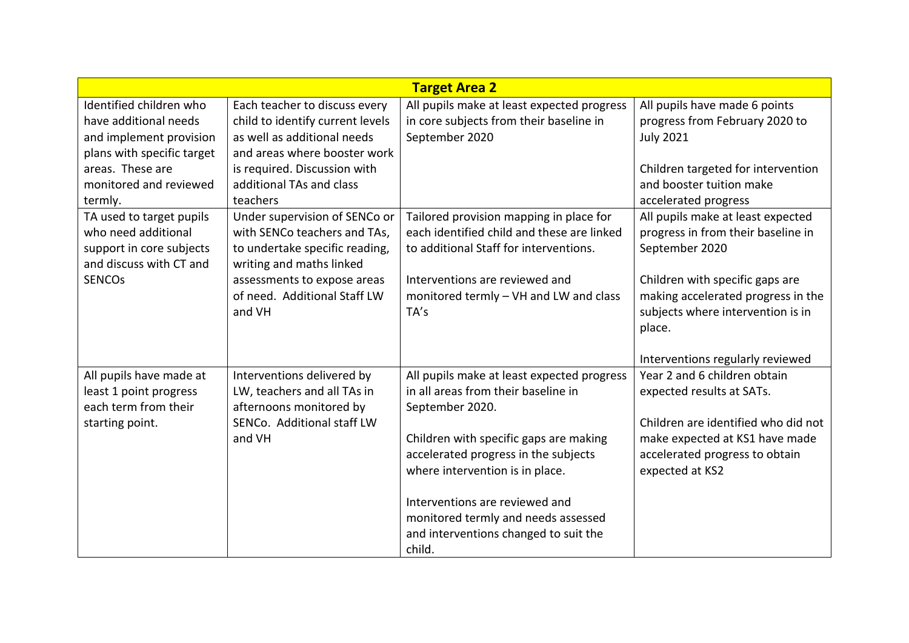| <b>Target Area 2</b>       |                                  |                                            |                                     |  |
|----------------------------|----------------------------------|--------------------------------------------|-------------------------------------|--|
| Identified children who    | Each teacher to discuss every    | All pupils make at least expected progress | All pupils have made 6 points       |  |
| have additional needs      | child to identify current levels | in core subjects from their baseline in    | progress from February 2020 to      |  |
| and implement provision    | as well as additional needs      | September 2020                             | <b>July 2021</b>                    |  |
| plans with specific target | and areas where booster work     |                                            |                                     |  |
| areas. These are           | is required. Discussion with     |                                            | Children targeted for intervention  |  |
| monitored and reviewed     | additional TAs and class         |                                            | and booster tuition make            |  |
| termly.                    | teachers                         |                                            | accelerated progress                |  |
| TA used to target pupils   | Under supervision of SENCo or    | Tailored provision mapping in place for    | All pupils make at least expected   |  |
| who need additional        | with SENCo teachers and TAs,     | each identified child and these are linked | progress in from their baseline in  |  |
| support in core subjects   | to undertake specific reading,   | to additional Staff for interventions.     | September 2020                      |  |
| and discuss with CT and    | writing and maths linked         |                                            |                                     |  |
| <b>SENCOs</b>              | assessments to expose areas      | Interventions are reviewed and             | Children with specific gaps are     |  |
|                            | of need. Additional Staff LW     | monitored termly - VH and LW and class     | making accelerated progress in the  |  |
|                            | and VH                           | TA's                                       | subjects where intervention is in   |  |
|                            |                                  |                                            | place.                              |  |
|                            |                                  |                                            |                                     |  |
|                            |                                  |                                            | Interventions regularly reviewed    |  |
| All pupils have made at    | Interventions delivered by       | All pupils make at least expected progress | Year 2 and 6 children obtain        |  |
| least 1 point progress     | LW, teachers and all TAs in      | in all areas from their baseline in        | expected results at SATs.           |  |
| each term from their       | afternoons monitored by          | September 2020.                            |                                     |  |
| starting point.            | SENCo. Additional staff LW       |                                            | Children are identified who did not |  |
|                            | and VH                           | Children with specific gaps are making     | make expected at KS1 have made      |  |
|                            |                                  | accelerated progress in the subjects       | accelerated progress to obtain      |  |
|                            |                                  | where intervention is in place.            | expected at KS2                     |  |
|                            |                                  |                                            |                                     |  |
|                            |                                  | Interventions are reviewed and             |                                     |  |
|                            |                                  | monitored termly and needs assessed        |                                     |  |
|                            |                                  | and interventions changed to suit the      |                                     |  |
|                            |                                  | child.                                     |                                     |  |